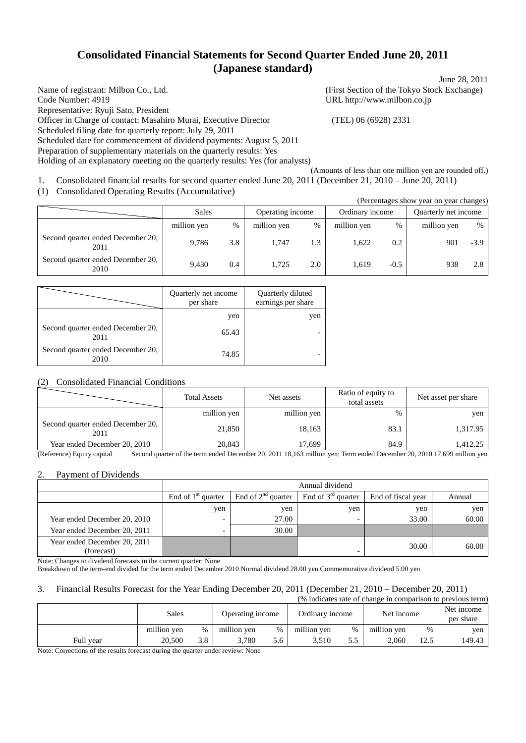# **Consolidated Financial Statements for Second Quarter Ended June 20, 2011 (Japanese standard)**

Name of registrant: Milbon Co., Ltd. (First Section of the Tokyo Stock Exchange) Code Number: 4919 URL http://www.milbon.co.jp Representative: Ryuji Sato, President Officer in Charge of contact: Masahiro Murai, Executive Director (TEL) 06 (6928) 2331 Scheduled filing date for quarterly report: July 29, 2011 Scheduled date for commencement of dividend payments: August 5, 2011 Preparation of supplementary materials on the quarterly results: Yes Holding of an explanatory meeting on the quarterly results: Yes (for analysts)

June 28, 2011

(Amounts of less than one million yen are rounded off.) 1. Consolidated financial results for second quarter ended June 20, 2011 (December 21, 2010 – June 20, 2011)

(1) Consolidated Operating Results (Accumulative)

|                                           |             |      |                  |     |                 |        | (Percentages show year on year changes) |        |
|-------------------------------------------|-------------|------|------------------|-----|-----------------|--------|-----------------------------------------|--------|
|                                           | Sales       |      | Operating income |     | Ordinary income |        | Quarterly net income                    |        |
|                                           | million yen | $\%$ | million yen      | %   | million yen     | $\%$   | million yen                             | %      |
| Second quarter ended December 20,<br>2011 | 9.786       | 3.8  | 1.747            | 1.3 | 1.622           | 0.2    | 901                                     | $-3.9$ |
| Second quarter ended December 20,<br>2010 | 9.430       | 0.4  | 1.725            | 2.0 | 1.619           | $-0.5$ | 938                                     | 2.8    |

|                                           | Quarterly net income<br>per share | Quarterly diluted<br>earnings per share |
|-------------------------------------------|-----------------------------------|-----------------------------------------|
|                                           | yen                               | yen                                     |
| Second quarter ended December 20,<br>2011 | 65.43                             |                                         |
| Second quarter ended December 20,<br>2010 | 74.85                             |                                         |

## (2) Consolidated Financial Conditions

|                                           | <b>Total Assets</b> | Net assets  | Ratio of equity to<br>total assets | Net asset per share |
|-------------------------------------------|---------------------|-------------|------------------------------------|---------------------|
|                                           | million yen         | million yen | %                                  | yen                 |
| Second quarter ended December 20,<br>2011 | 21,850              | 18,163      | 83.1                               | 1,317.95            |
| Year ended December 20, 2010              | 20,843              | 17.699      | 84.9                               | 1,412.25            |

(Reference) Equity capital Second quarter of the term ended December 20, 2011 18,163 million yen; Term ended December 20, 2010 17,699 million yen

### 2. Payment of Dividends

|                                            | Annual dividend      |                         |                         |                    |        |  |  |
|--------------------------------------------|----------------------|-------------------------|-------------------------|--------------------|--------|--|--|
|                                            | End of $1st$ quarter | End of $2^{nd}$ quarter | End of $3^{rd}$ quarter | End of fiscal year | Annual |  |  |
|                                            | yen                  | yen                     | yen                     | yen                | yen    |  |  |
| Year ended December 20, 2010               |                      | 27.00                   |                         | 33.00              | 60.00  |  |  |
| Year ended December 20, 2011               |                      | 30.00                   |                         |                    |        |  |  |
| Year ended December 20, 2011<br>(forecast) |                      |                         | -                       | 30.00              | 60.00  |  |  |

Note: Changes to dividend forecasts in the current quarter: None

Breakdown of the term-end divided for the term ended December 2010 Normal dividend 28.00 yen Commemorative dividend 5.00 yen

## 3. Financial Results Forecast for the Year Ending December 20, 2011 (December 21, 2010 – December 20, 2011)

| (% indicates rate of change in comparison to previous term) |             |               |                  |     |                 |     |             |      |                         |
|-------------------------------------------------------------|-------------|---------------|------------------|-----|-----------------|-----|-------------|------|-------------------------|
|                                                             | Sales       |               | Operating income |     | Ordinary income |     | Net income  |      | Net income<br>per share |
|                                                             | million yen | $\frac{0}{0}$ | million ven      | %   | million yen     | %   | million yen | %    | ven                     |
| Full vear                                                   | 20,500      | 3.8           | 3.780            | 5.6 | 3.510           | 5.5 | 2.060       | 12.5 | 149.43                  |

Note: Corrections of the results forecast during the quarter under review: None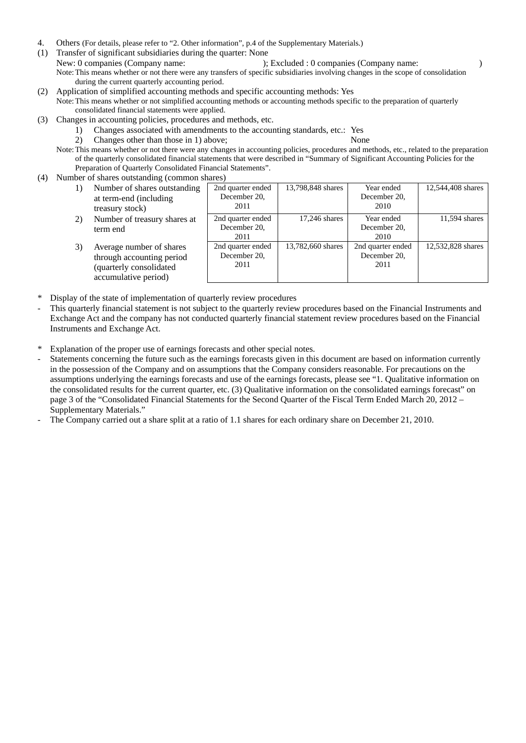- 4. Others (For details, please refer to "2. Other information", p.4 of the Supplementary Materials.)
- (1) Transfer of significant subsidiaries during the quarter: None New: 0 companies (Company name: ); Excluded : 0 companies (Company name: ) Note: This means whether or not there were any transfers of specific subsidiaries involving changes in the scope of consolidation during the current quarterly accounting period.
- (2) Application of simplified accounting methods and specific accounting methods: Yes Note: This means whether or not simplified accounting methods or accounting methods specific to the preparation of quarterly consolidated financial statements were applied.
- (3) Changes in accounting policies, procedures and methods, etc.
	- 1) Changes associated with amendments to the accounting standards, etc.: Yes
	- 2) Changes other than those in 1) above; None
	- Note: This means whether or not there were any changes in accounting policies, procedures and methods, etc., related to the preparation of the quarterly consolidated financial statements that were described in "Summary of Significant Accounting Policies for the Preparation of Quarterly Consolidated Financial Statements".
- (4) Number of shares outstanding (common shares)

| 1) | Number of shares outstanding<br>at term-end (including<br>treasury stock)                                | 2nd quarter ended<br>December 20,<br>2011 | 13,798,848 shares | Year ended<br>December 20,<br>2010        | 12,544,408 shares |
|----|----------------------------------------------------------------------------------------------------------|-------------------------------------------|-------------------|-------------------------------------------|-------------------|
| 2) | Number of treasury shares at<br>term end                                                                 | 2nd quarter ended<br>December 20,<br>2011 | 17,246 shares     | Year ended<br>December 20,<br>2010        | 11,594 shares     |
| 3) | Average number of shares<br>through accounting period<br>(quarterly consolidated<br>accumulative period) | 2nd quarter ended<br>December 20,<br>2011 | 13,782,660 shares | 2nd quarter ended<br>December 20,<br>2011 | 12,532,828 shares |

- Display of the state of implementation of quarterly review procedures
- This quarterly financial statement is not subject to the quarterly review procedures based on the Financial Instruments and Exchange Act and the company has not conducted quarterly financial statement review procedures based on the Financial Instruments and Exchange Act.
- \* Explanation of the proper use of earnings forecasts and other special notes.
- Statements concerning the future such as the earnings forecasts given in this document are based on information currently in the possession of the Company and on assumptions that the Company considers reasonable. For precautions on the assumptions underlying the earnings forecasts and use of the earnings forecasts, please see "1. Qualitative information on the consolidated results for the current quarter, etc. (3) Qualitative information on the consolidated earnings forecast" on page 3 of the "Consolidated Financial Statements for the Second Quarter of the Fiscal Term Ended March 20, 2012 – Supplementary Materials."
- The Company carried out a share split at a ratio of 1.1 shares for each ordinary share on December 21, 2010.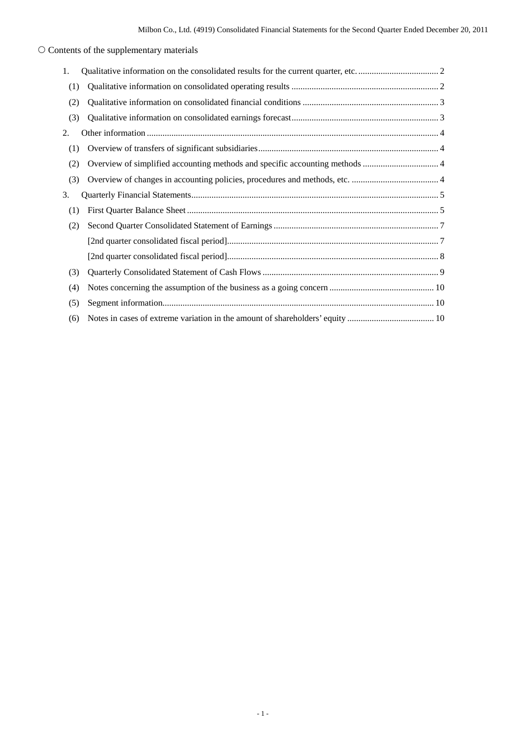# $\bigcirc$  Contents of the supplementary materials

| 1.  |  |
|-----|--|
| (1) |  |
| (2) |  |
| (3) |  |
| 2.  |  |
| (1) |  |
| (2) |  |
| (3) |  |
| 3.  |  |
| (1) |  |
| (2) |  |
|     |  |
|     |  |
| (3) |  |
| (4) |  |
| (5) |  |
| (6) |  |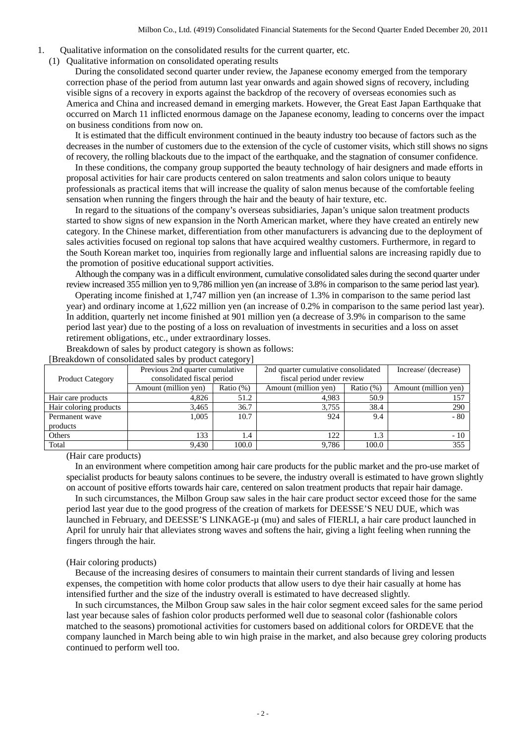- 1. Qualitative information on the consolidated results for the current quarter, etc.
	- (1) Qualitative information on consolidated operating results

During the consolidated second quarter under review, the Japanese economy emerged from the temporary correction phase of the period from autumn last year onwards and again showed signs of recovery, including visible signs of a recovery in exports against the backdrop of the recovery of overseas economies such as America and China and increased demand in emerging markets. However, the Great East Japan Earthquake that occurred on March 11 inflicted enormous damage on the Japanese economy, leading to concerns over the impact on business conditions from now on.

It is estimated that the difficult environment continued in the beauty industry too because of factors such as the decreases in the number of customers due to the extension of the cycle of customer visits, which still shows no signs of recovery, the rolling blackouts due to the impact of the earthquake, and the stagnation of consumer confidence.

In these conditions, the company group supported the beauty technology of hair designers and made efforts in proposal activities for hair care products centered on salon treatments and salon colors unique to beauty professionals as practical items that will increase the quality of salon menus because of the comfortable feeling sensation when running the fingers through the hair and the beauty of hair texture, etc.

In regard to the situations of the company's overseas subsidiaries, Japan's unique salon treatment products started to show signs of new expansion in the North American market, where they have created an entirely new category. In the Chinese market, differentiation from other manufacturers is advancing due to the deployment of sales activities focused on regional top salons that have acquired wealthy customers. Furthermore, in regard to the South Korean market too, inquiries from regionally large and influential salons are increasing rapidly due to the promotion of positive educational support activities.

Although the company was in a difficult environment, cumulative consolidated sales during the second quarter under review increased 355 million yen to 9,786 million yen (an increase of 3.8% in comparison to the same period last year).

Operating income finished at 1,747 million yen (an increase of 1.3% in comparison to the same period last year) and ordinary income at 1,622 million yen (an increase of 0.2% in comparison to the same period last year). In addition, quarterly net income finished at 901 million yen (a decrease of 3.9% in comparison to the same period last year) due to the posting of a loss on revaluation of investments in securities and a loss on asset retirement obligations, etc., under extraordinary losses.

Breakdown of sales by product category is shown as follows:

|                         | 2nd quarter cumulative consolidated<br>Previous 2nd quarter cumulative |              |                            |              | Increase/ (decrease) |
|-------------------------|------------------------------------------------------------------------|--------------|----------------------------|--------------|----------------------|
| <b>Product Category</b> | consolidated fiscal period                                             |              | fiscal period under review |              |                      |
|                         | Amount (million yen)                                                   | Ratio $(\%)$ | Amount (million yen)       | Ratio $(\%)$ | Amount (million yen) |
| Hair care products      | 4.826                                                                  | 51.2         | 4.983                      | 50.9         |                      |
| Hair coloring products  | 3.465                                                                  | 36.7         | 3.755                      | 38.4         | 290                  |
| Permanent wave          | 1,005                                                                  | 10.7         | 924                        | 9.4          | - 80                 |
| products                |                                                                        |              |                            |              |                      |
| Others                  | 133                                                                    | 1.4          | 122                        | 1.3          | $-10$                |
| Total                   | 9.430                                                                  | 100.0        | 9.786                      | 100.0        | 355                  |

[Breakdown of consolidated sales by product category]

(Hair care products)

In an environment where competition among hair care products for the public market and the pro-use market of specialist products for beauty salons continues to be severe, the industry overall is estimated to have grown slightly on account of positive efforts towards hair care, centered on salon treatment products that repair hair damage.

In such circumstances, the Milbon Group saw sales in the hair care product sector exceed those for the same period last year due to the good progress of the creation of markets for DEESSE'S NEU DUE, which was launched in February, and DEESSE'S LINKAGE-µ (mu) and sales of FIERLI, a hair care product launched in April for unruly hair that alleviates strong waves and softens the hair, giving a light feeling when running the fingers through the hair.

#### (Hair coloring products)

Because of the increasing desires of consumers to maintain their current standards of living and lessen expenses, the competition with home color products that allow users to dye their hair casually at home has intensified further and the size of the industry overall is estimated to have decreased slightly.

In such circumstances, the Milbon Group saw sales in the hair color segment exceed sales for the same period last year because sales of fashion color products performed well due to seasonal color (fashionable colors matched to the seasons) promotional activities for customers based on additional colors for ORDEVE that the company launched in March being able to win high praise in the market, and also because grey coloring products continued to perform well too.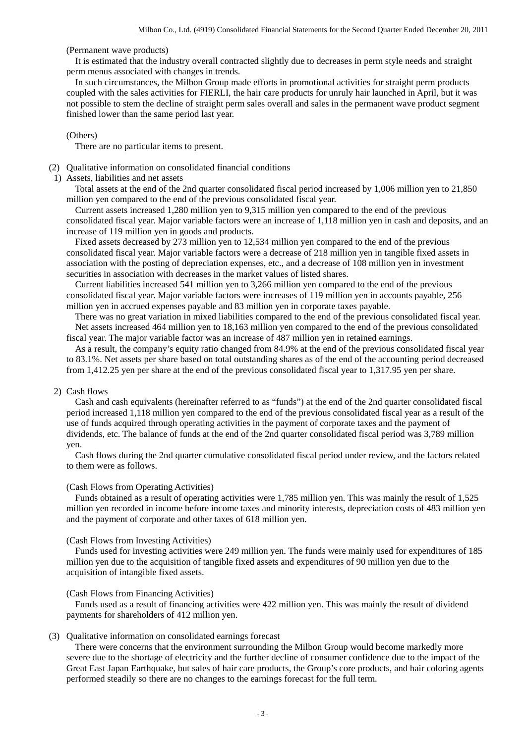(Permanent wave products)

It is estimated that the industry overall contracted slightly due to decreases in perm style needs and straight perm menus associated with changes in trends.

In such circumstances, the Milbon Group made efforts in promotional activities for straight perm products coupled with the sales activities for FIERLI, the hair care products for unruly hair launched in April, but it was not possible to stem the decline of straight perm sales overall and sales in the permanent wave product segment finished lower than the same period last year.

#### (Others)

There are no particular items to present.

(2) Qualitative information on consolidated financial conditions

1) Assets, liabilities and net assets

Total assets at the end of the 2nd quarter consolidated fiscal period increased by 1,006 million yen to 21,850 million yen compared to the end of the previous consolidated fiscal year.

Current assets increased 1,280 million yen to 9,315 million yen compared to the end of the previous consolidated fiscal year. Major variable factors were an increase of 1,118 million yen in cash and deposits, and an increase of 119 million yen in goods and products.

Fixed assets decreased by 273 million yen to 12,534 million yen compared to the end of the previous consolidated fiscal year. Major variable factors were a decrease of 218 million yen in tangible fixed assets in association with the posting of depreciation expenses, etc., and a decrease of 108 million yen in investment securities in association with decreases in the market values of listed shares.

Current liabilities increased 541 million yen to 3,266 million yen compared to the end of the previous consolidated fiscal year. Major variable factors were increases of 119 million yen in accounts payable, 256 million yen in accrued expenses payable and 83 million yen in corporate taxes payable.

There was no great variation in mixed liabilities compared to the end of the previous consolidated fiscal year. Net assets increased 464 million yen to 18,163 million yen compared to the end of the previous consolidated fiscal year. The major variable factor was an increase of 487 million yen in retained earnings.

As a result, the company's equity ratio changed from 84.9% at the end of the previous consolidated fiscal year to 83.1%. Net assets per share based on total outstanding shares as of the end of the accounting period decreased from 1,412.25 yen per share at the end of the previous consolidated fiscal year to 1,317.95 yen per share.

## 2) Cash flows

Cash and cash equivalents (hereinafter referred to as "funds") at the end of the 2nd quarter consolidated fiscal period increased 1,118 million yen compared to the end of the previous consolidated fiscal year as a result of the use of funds acquired through operating activities in the payment of corporate taxes and the payment of dividends, etc. The balance of funds at the end of the 2nd quarter consolidated fiscal period was 3,789 million yen.

Cash flows during the 2nd quarter cumulative consolidated fiscal period under review, and the factors related to them were as follows.

### (Cash Flows from Operating Activities)

Funds obtained as a result of operating activities were 1,785 million yen. This was mainly the result of 1,525 million yen recorded in income before income taxes and minority interests, depreciation costs of 483 million yen and the payment of corporate and other taxes of 618 million yen.

#### (Cash Flows from Investing Activities)

Funds used for investing activities were 249 million yen. The funds were mainly used for expenditures of 185 million yen due to the acquisition of tangible fixed assets and expenditures of 90 million yen due to the acquisition of intangible fixed assets.

#### (Cash Flows from Financing Activities)

Funds used as a result of financing activities were 422 million yen. This was mainly the result of dividend payments for shareholders of 412 million yen.

#### (3) Qualitative information on consolidated earnings forecast

There were concerns that the environment surrounding the Milbon Group would become markedly more severe due to the shortage of electricity and the further decline of consumer confidence due to the impact of the Great East Japan Earthquake, but sales of hair care products, the Group's core products, and hair coloring agents performed steadily so there are no changes to the earnings forecast for the full term.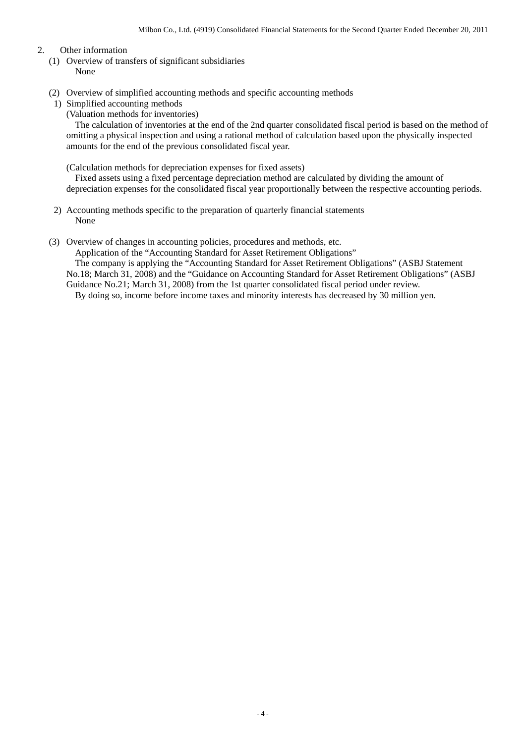### 2. Other information

- (1) Overview of transfers of significant subsidiaries None
- (2) Overview of simplified accounting methods and specific accounting methods
	- 1) Simplified accounting methods

(Valuation methods for inventories)

The calculation of inventories at the end of the 2nd quarter consolidated fiscal period is based on the method of omitting a physical inspection and using a rational method of calculation based upon the physically inspected amounts for the end of the previous consolidated fiscal year.

(Calculation methods for depreciation expenses for fixed assets)

Fixed assets using a fixed percentage depreciation method are calculated by dividing the amount of depreciation expenses for the consolidated fiscal year proportionally between the respective accounting periods.

- 2) Accounting methods specific to the preparation of quarterly financial statements None
- (3) Overview of changes in accounting policies, procedures and methods, etc.

Application of the "Accounting Standard for Asset Retirement Obligations"

The company is applying the "Accounting Standard for Asset Retirement Obligations" (ASBJ Statement No.18; March 31, 2008) and the "Guidance on Accounting Standard for Asset Retirement Obligations" (ASBJ Guidance No.21; March 31, 2008) from the 1st quarter consolidated fiscal period under review.

By doing so, income before income taxes and minority interests has decreased by 30 million yen.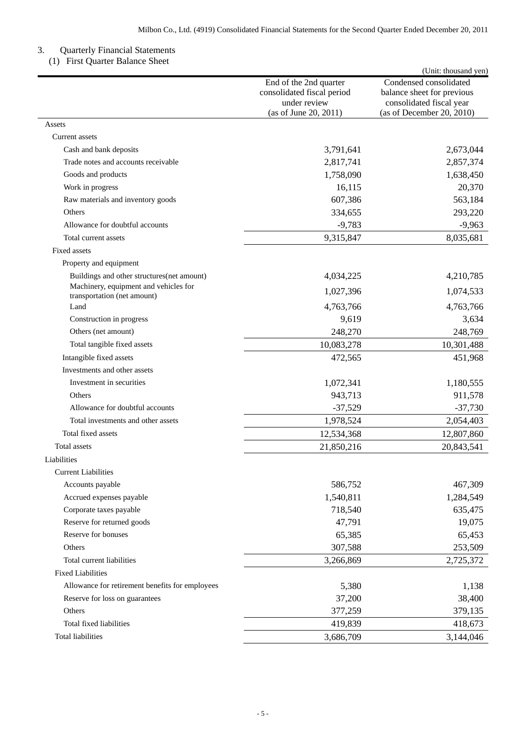### 3. Quarterly Financial Statements

(1) First Quarter Balance Sheet

|                                                                      |                                                                                               | (Unit: thousand yen)                                                                                          |
|----------------------------------------------------------------------|-----------------------------------------------------------------------------------------------|---------------------------------------------------------------------------------------------------------------|
|                                                                      | End of the 2nd quarter<br>consolidated fiscal period<br>under review<br>(as of June 20, 2011) | Condensed consolidated<br>balance sheet for previous<br>consolidated fiscal year<br>(as of December 20, 2010) |
| Assets                                                               |                                                                                               |                                                                                                               |
| Current assets                                                       |                                                                                               |                                                                                                               |
| Cash and bank deposits                                               | 3,791,641                                                                                     | 2,673,044                                                                                                     |
| Trade notes and accounts receivable                                  | 2,817,741                                                                                     | 2,857,374                                                                                                     |
| Goods and products                                                   | 1,758,090                                                                                     | 1,638,450                                                                                                     |
| Work in progress                                                     | 16,115                                                                                        | 20,370                                                                                                        |
| Raw materials and inventory goods                                    | 607,386                                                                                       | 563,184                                                                                                       |
| Others                                                               | 334,655                                                                                       | 293,220                                                                                                       |
| Allowance for doubtful accounts                                      | $-9,783$                                                                                      | $-9,963$                                                                                                      |
| Total current assets                                                 | 9,315,847                                                                                     | 8,035,681                                                                                                     |
| <b>Fixed assets</b>                                                  |                                                                                               |                                                                                                               |
| Property and equipment                                               |                                                                                               |                                                                                                               |
| Buildings and other structures (net amount)                          | 4,034,225                                                                                     | 4,210,785                                                                                                     |
| Machinery, equipment and vehicles for<br>transportation (net amount) | 1,027,396                                                                                     | 1,074,533                                                                                                     |
| Land                                                                 | 4,763,766                                                                                     | 4,763,766                                                                                                     |
| Construction in progress                                             | 9,619                                                                                         | 3,634                                                                                                         |
| Others (net amount)                                                  | 248,270                                                                                       | 248,769                                                                                                       |
| Total tangible fixed assets                                          | 10,083,278                                                                                    | 10,301,488                                                                                                    |
| Intangible fixed assets                                              | 472,565                                                                                       | 451,968                                                                                                       |
| Investments and other assets                                         |                                                                                               |                                                                                                               |
| Investment in securities                                             | 1,072,341                                                                                     | 1,180,555                                                                                                     |
| Others                                                               | 943,713                                                                                       | 911,578                                                                                                       |
| Allowance for doubtful accounts                                      | $-37,529$                                                                                     | $-37,730$                                                                                                     |
| Total investments and other assets                                   | 1,978,524                                                                                     | 2,054,403                                                                                                     |
| Total fixed assets                                                   | 12,534,368                                                                                    | 12,807,860                                                                                                    |
| Total assets                                                         | 21,850,216                                                                                    | 20,843,541                                                                                                    |
| Liabilities                                                          |                                                                                               |                                                                                                               |
| <b>Current Liabilities</b>                                           |                                                                                               |                                                                                                               |
| Accounts payable                                                     | 586,752                                                                                       | 467,309                                                                                                       |
| Accrued expenses payable                                             | 1,540,811                                                                                     | 1,284,549                                                                                                     |
| Corporate taxes payable                                              | 718,540                                                                                       | 635,475                                                                                                       |
| Reserve for returned goods                                           | 47,791                                                                                        | 19,075                                                                                                        |
| Reserve for bonuses                                                  | 65,385                                                                                        | 65,453                                                                                                        |
| Others                                                               | 307,588                                                                                       | 253,509                                                                                                       |
| Total current liabilities                                            | 3,266,869                                                                                     | 2,725,372                                                                                                     |
| <b>Fixed Liabilities</b>                                             |                                                                                               |                                                                                                               |
| Allowance for retirement benefits for employees                      | 5,380                                                                                         | 1,138                                                                                                         |
| Reserve for loss on guarantees                                       | 37,200                                                                                        | 38,400                                                                                                        |
| Others                                                               | 377,259                                                                                       | 379,135                                                                                                       |
| Total fixed liabilities                                              | 419,839                                                                                       | 418,673                                                                                                       |
| <b>Total liabilities</b>                                             | 3,686,709                                                                                     | 3,144,046                                                                                                     |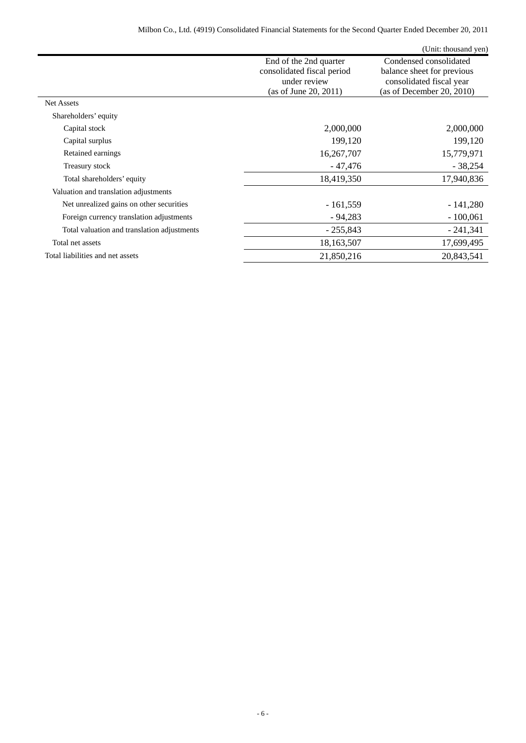|                                             |                                                                                               | (Unit: thousand yen)                                                                                          |
|---------------------------------------------|-----------------------------------------------------------------------------------------------|---------------------------------------------------------------------------------------------------------------|
|                                             | End of the 2nd quarter<br>consolidated fiscal period<br>under review<br>(as of June 20, 2011) | Condensed consolidated<br>balance sheet for previous<br>consolidated fiscal year<br>(as of December 20, 2010) |
| <b>Net Assets</b>                           |                                                                                               |                                                                                                               |
| Shareholders' equity                        |                                                                                               |                                                                                                               |
| Capital stock                               | 2,000,000                                                                                     | 2,000,000                                                                                                     |
| Capital surplus                             | 199,120                                                                                       | 199,120                                                                                                       |
| Retained earnings                           | 16,267,707                                                                                    | 15,779,971                                                                                                    |
| Treasury stock                              | - 47,476                                                                                      | $-38,254$                                                                                                     |
| Total shareholders' equity                  | 18,419,350                                                                                    | 17,940,836                                                                                                    |
| Valuation and translation adjustments       |                                                                                               |                                                                                                               |
| Net unrealized gains on other securities    | $-161,559$                                                                                    | $-141,280$                                                                                                    |
| Foreign currency translation adjustments    | $-94,283$                                                                                     | $-100,061$                                                                                                    |
| Total valuation and translation adjustments | $-255,843$                                                                                    | $-241,341$                                                                                                    |
| Total net assets                            | 18,163,507                                                                                    | 17,699,495                                                                                                    |
| Total liabilities and net assets            | 21,850,216                                                                                    | 20,843,541                                                                                                    |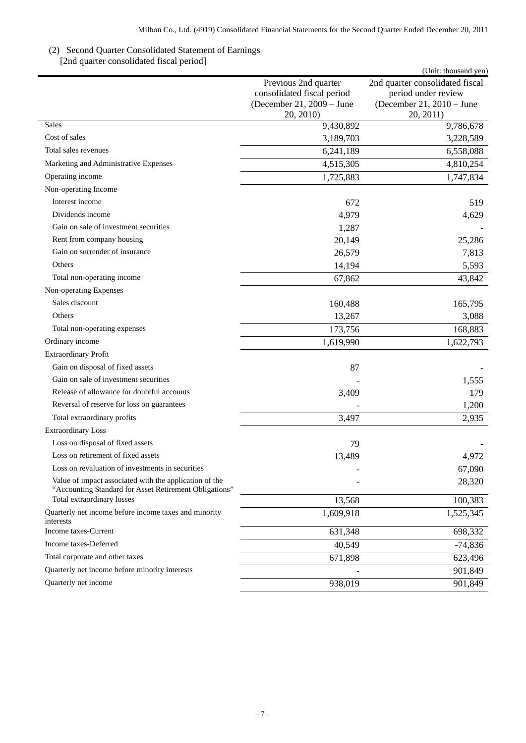## (2) Second Quarter Consolidated Statement of Earnings [2nd quarter consolidated fiscal period]

|                                                                                                                  |                            | (Unit: thousand yen)            |
|------------------------------------------------------------------------------------------------------------------|----------------------------|---------------------------------|
|                                                                                                                  | Previous 2nd quarter       | 2nd quarter consolidated fiscal |
|                                                                                                                  | consolidated fiscal period | period under review             |
|                                                                                                                  | (December 21, 2009 – June  | (December 21, 2010 – June       |
| Sales                                                                                                            | 20, 2010)<br>9,430,892     | 20, 2011)<br>9,786,678          |
| Cost of sales                                                                                                    | 3,189,703                  | 3,228,589                       |
| Total sales revenues                                                                                             | 6,241,189                  | 6,558,088                       |
| Marketing and Administrative Expenses                                                                            | 4,515,305                  | 4,810,254                       |
| Operating income                                                                                                 | 1,725,883                  | 1,747,834                       |
| Non-operating Income                                                                                             |                            |                                 |
| Interest income                                                                                                  | 672                        | 519                             |
| Dividends income                                                                                                 | 4,979                      | 4,629                           |
| Gain on sale of investment securities                                                                            | 1,287                      |                                 |
| Rent from company housing                                                                                        | 20,149                     | 25,286                          |
| Gain on surrender of insurance                                                                                   | 26,579                     | 7,813                           |
| Others                                                                                                           | 14,194                     | 5,593                           |
| Total non-operating income                                                                                       | 67,862                     | 43,842                          |
| Non-operating Expenses                                                                                           |                            |                                 |
| Sales discount                                                                                                   | 160,488                    | 165,795                         |
| Others                                                                                                           | 13,267                     | 3,088                           |
| Total non-operating expenses                                                                                     | 173,756                    | 168,883                         |
| Ordinary income                                                                                                  | 1,619,990                  | 1,622,793                       |
| <b>Extraordinary Profit</b>                                                                                      |                            |                                 |
| Gain on disposal of fixed assets                                                                                 | 87                         |                                 |
| Gain on sale of investment securities                                                                            |                            | 1,555                           |
| Release of allowance for doubtful accounts                                                                       | 3,409                      | 179                             |
| Reversal of reserve for loss on guarantees                                                                       |                            | 1,200                           |
| Total extraordinary profits                                                                                      | 3,497                      | 2,935                           |
| <b>Extraordinary Loss</b>                                                                                        |                            |                                 |
| Loss on disposal of fixed assets                                                                                 | 79                         |                                 |
| Loss on retirement of fixed assets                                                                               | 13,489                     | 4,972                           |
| Loss on revaluation of investments in securities                                                                 |                            | 67,090                          |
| Value of impact associated with the application of the<br>"Accounting Standard for Asset Retirement Obligations" |                            | 28,320                          |
| Total extraordinary losses                                                                                       | 13,568                     | 100,383                         |
| Quarterly net income before income taxes and minority<br>interests                                               | 1,609,918                  | 1,525,345                       |
| Income taxes-Current                                                                                             | 631,348                    | 698,332                         |
| Income taxes-Deferred                                                                                            | 40,549                     | $-74,836$                       |
| Total corporate and other taxes                                                                                  | 671,898                    | 623,496                         |
| Quarterly net income before minority interests                                                                   |                            | 901,849                         |
| Quarterly net income                                                                                             | 938,019                    | 901,849                         |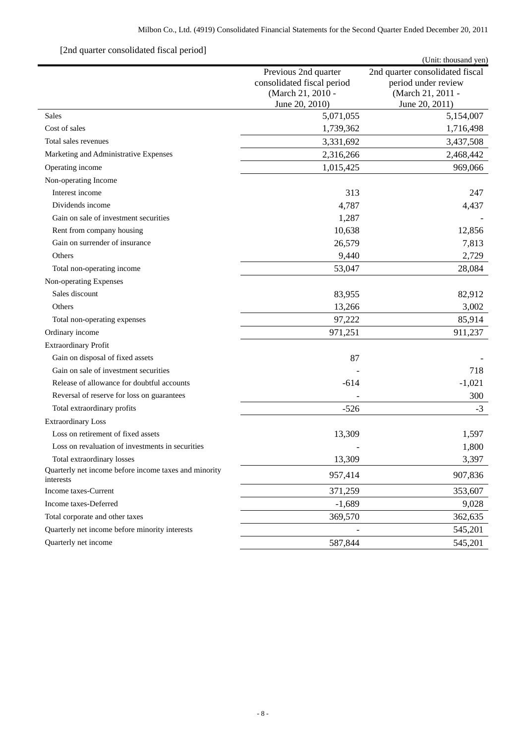# [2nd quarter consolidated fiscal period]

| $\mu$ 2110 quarter consolidated fiscal period                      |                                                                                           | (Unit: thousand yen)                                                                          |
|--------------------------------------------------------------------|-------------------------------------------------------------------------------------------|-----------------------------------------------------------------------------------------------|
|                                                                    | Previous 2nd quarter<br>consolidated fiscal period<br>(March 21, 2010 -<br>June 20, 2010) | 2nd quarter consolidated fiscal<br>period under review<br>(March 21, 2011 -<br>June 20, 2011) |
| Sales                                                              | 5,071,055                                                                                 | 5,154,007                                                                                     |
| Cost of sales                                                      | 1,739,362                                                                                 | 1,716,498                                                                                     |
| Total sales revenues                                               | 3,331,692                                                                                 | 3,437,508                                                                                     |
| Marketing and Administrative Expenses                              | 2,316,266                                                                                 | 2,468,442                                                                                     |
| Operating income                                                   | 1,015,425                                                                                 | 969,066                                                                                       |
| Non-operating Income                                               |                                                                                           |                                                                                               |
| Interest income                                                    | 313                                                                                       | 247                                                                                           |
| Dividends income                                                   | 4,787                                                                                     | 4,437                                                                                         |
| Gain on sale of investment securities                              | 1,287                                                                                     |                                                                                               |
| Rent from company housing                                          | 10,638                                                                                    | 12,856                                                                                        |
| Gain on surrender of insurance                                     | 26,579                                                                                    | 7,813                                                                                         |
| Others                                                             | 9,440                                                                                     | 2,729                                                                                         |
| Total non-operating income                                         | 53,047                                                                                    | 28,084                                                                                        |
| Non-operating Expenses                                             |                                                                                           |                                                                                               |
| Sales discount                                                     | 83,955                                                                                    | 82,912                                                                                        |
| Others                                                             | 13,266                                                                                    | 3,002                                                                                         |
| Total non-operating expenses                                       | 97,222                                                                                    | 85,914                                                                                        |
| Ordinary income                                                    | 971,251                                                                                   | 911,237                                                                                       |
| <b>Extraordinary Profit</b>                                        |                                                                                           |                                                                                               |
| Gain on disposal of fixed assets                                   | 87                                                                                        |                                                                                               |
| Gain on sale of investment securities                              |                                                                                           | 718                                                                                           |
| Release of allowance for doubtful accounts                         | $-614$                                                                                    | $-1,021$                                                                                      |
| Reversal of reserve for loss on guarantees                         |                                                                                           | 300                                                                                           |
| Total extraordinary profits                                        | $-526$                                                                                    | $-3$                                                                                          |
| <b>Extraordinary Loss</b>                                          |                                                                                           |                                                                                               |
| Loss on retirement of fixed assets                                 | 13,309                                                                                    | 1,597                                                                                         |
| Loss on revaluation of investments in securities                   |                                                                                           | 1,800                                                                                         |
| Total extraordinary losses                                         | 13,309                                                                                    | 3,397                                                                                         |
| Quarterly net income before income taxes and minority<br>interests | 957,414                                                                                   | 907,836                                                                                       |
| Income taxes-Current                                               | 371,259                                                                                   | 353,607                                                                                       |
| Income taxes-Deferred                                              | $-1,689$                                                                                  | 9,028                                                                                         |
| Total corporate and other taxes                                    | 369,570                                                                                   | 362,635                                                                                       |
| Quarterly net income before minority interests                     |                                                                                           | 545,201                                                                                       |
| Quarterly net income                                               | 587,844                                                                                   | 545,201                                                                                       |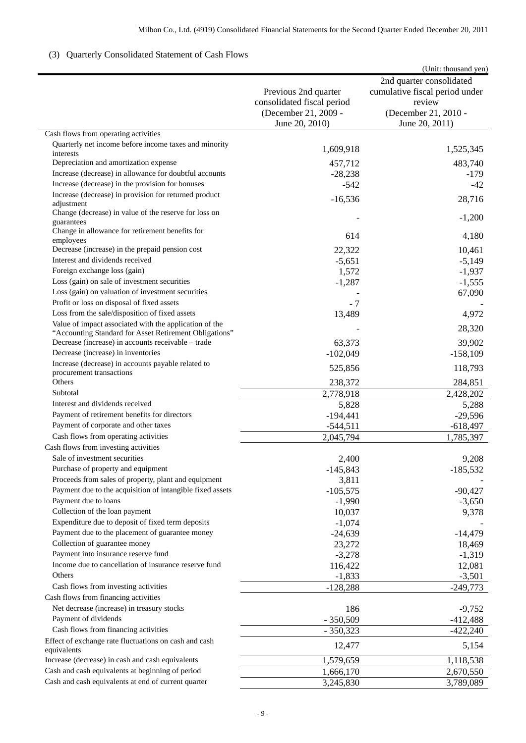# (3) Quarterly Consolidated Statement of Cash Flows

|                                                                     |                            | (Unit: thousand yen)           |
|---------------------------------------------------------------------|----------------------------|--------------------------------|
|                                                                     |                            | 2nd quarter consolidated       |
|                                                                     | Previous 2nd quarter       | cumulative fiscal period under |
|                                                                     | consolidated fiscal period | review                         |
|                                                                     | (December 21, 2009 -       | (December 21, 2010 -           |
|                                                                     | June 20, 2010)             | June 20, 2011)                 |
| Cash flows from operating activities                                |                            |                                |
| Quarterly net income before income taxes and minority               |                            |                                |
| interests                                                           | 1,609,918                  | 1,525,345                      |
| Depreciation and amortization expense                               | 457,712                    | 483,740                        |
| Increase (decrease) in allowance for doubtful accounts              | $-28,238$                  | $-179$                         |
| Increase (decrease) in the provision for bonuses                    | $-542$                     | -42                            |
| Increase (decrease) in provision for returned product               | $-16,536$                  | 28,716                         |
| adjustment                                                          |                            |                                |
| Change (decrease) in value of the reserve for loss on<br>guarantees |                            | $-1,200$                       |
| Change in allowance for retirement benefits for                     |                            |                                |
| employees                                                           | 614                        | 4,180                          |
| Decrease (increase) in the prepaid pension cost                     | 22,322                     | 10,461                         |
| Interest and dividends received                                     | $-5,651$                   | $-5,149$                       |
| Foreign exchange loss (gain)                                        | 1,572                      | $-1,937$                       |
| Loss (gain) on sale of investment securities                        | $-1,287$                   | $-1,555$                       |
| Loss (gain) on valuation of investment securities                   |                            | 67,090                         |
| Profit or loss on disposal of fixed assets                          | $-7$                       |                                |
| Loss from the sale/disposition of fixed assets                      | 13,489                     | 4,972                          |
| Value of impact associated with the application of the              |                            |                                |
| "Accounting Standard for Asset Retirement Obligations"              |                            | 28,320                         |
| Decrease (increase) in accounts receivable – trade                  | 63,373                     | 39,902                         |
| Decrease (increase) in inventories                                  | $-102,049$                 | $-158,109$                     |
| Increase (decrease) in accounts payable related to                  | 525,856                    | 118,793                        |
| procurement transactions                                            |                            |                                |
| Others                                                              | 238,372                    | 284,851                        |
| Subtotal                                                            | 2,778,918                  | 2,428,202                      |
| Interest and dividends received                                     | 5,828                      | 5,288                          |
| Payment of retirement benefits for directors                        | $-194,441$                 | $-29,596$                      |
| Payment of corporate and other taxes                                | $-544,511$                 | $-618,497$                     |
| Cash flows from operating activities                                | 2,045,794                  | 1,785,397                      |
| Cash flows from investing activities                                |                            |                                |
| Sale of investment securities                                       | 2,400                      | 9,208                          |
| Purchase of property and equipment                                  | $-145,843$                 | $-185,532$                     |
| Proceeds from sales of property, plant and equipment                | 3,811                      |                                |
| Payment due to the acquisition of intangible fixed assets           | $-105,575$                 | $-90,427$                      |
| Payment due to loans                                                | $-1,990$                   | $-3,650$                       |
| Collection of the loan payment                                      | 10,037                     | 9,378                          |
| Expenditure due to deposit of fixed term deposits                   | $-1,074$                   |                                |
| Payment due to the placement of guarantee money                     | $-24,639$                  | $-14,479$                      |
| Collection of guarantee money                                       | 23,272                     | 18,469                         |
| Payment into insurance reserve fund                                 | $-3,278$                   | $-1,319$                       |
| Income due to cancellation of insurance reserve fund                | 116,422                    | 12,081                         |
| Others                                                              | $-1,833$                   | $-3,501$                       |
| Cash flows from investing activities                                | $-128,288$                 | $-249,773$                     |
| Cash flows from financing activities                                |                            |                                |
| Net decrease (increase) in treasury stocks                          | 186                        | $-9,752$                       |
| Payment of dividends                                                | $-350,509$                 | $-412,488$                     |
| Cash flows from financing activities                                | $-350,323$                 | $-422,240$                     |
| Effect of exchange rate fluctuations on cash and cash               |                            |                                |
| equivalents                                                         | 12,477                     | 5,154                          |
| Increase (decrease) in cash and cash equivalents                    | 1,579,659                  | 1,118,538                      |
| Cash and cash equivalents at beginning of period                    | 1,666,170                  | 2,670,550                      |
| Cash and cash equivalents at end of current quarter                 | 3,245,830                  | 3,789,089                      |